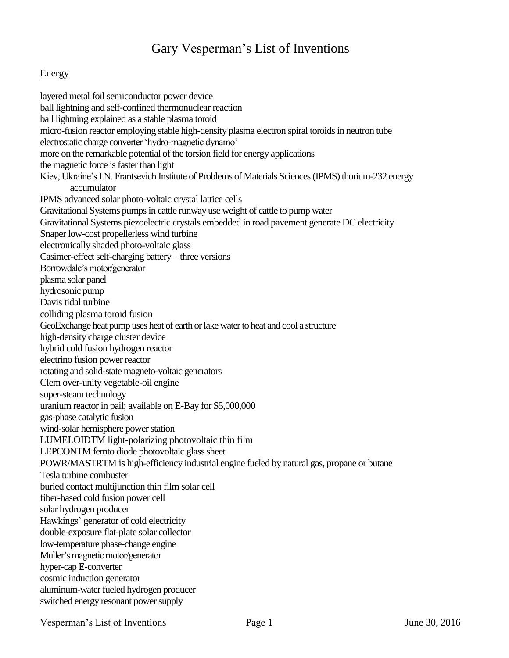# Gary Vesperman"s List of Inventions

#### **Energy**

layered metal foil semiconductor power device ball lightning and self-confined thermonuclear reaction ball lightning explained as a stable plasma toroid micro-fusion reactor employing stable high-density plasma electron spiral toroids in neutron tube electrostatic charge converter "hydro-magnetic dynamo" more on the remarkable potential of the torsion field for energy applications the magnetic force is faster than light Kiev, Ukraine's I.N. Frantsevich Institute of Problems of Materials Sciences (IPMS) thorium-232 energy accumulator IPMS advanced solar photo-voltaic crystal lattice cells Gravitational Systems pumps in cattle runway use weight of cattle to pump water Gravitational Systems piezoelectric crystals embedded in road pavement generate DC electricity Snaper low-cost propellerless wind turbine electronically shaded photo-voltaic glass Casimer-effect self-charging battery – three versions Borrowdale"s motor/generator plasma solar panel hydrosonic pump Davis tidal turbine colliding plasma toroid fusion GeoExchange heat pump uses heat of earth or lake water to heat and cool a structure high-density charge cluster device hybrid cold fusion hydrogen reactor electrino fusion power reactor rotating and solid-state magneto-voltaic generators Clem over-unity vegetable-oil engine super-steam technology uranium reactor in pail; available on E-Bay for \$5,000,000 gas-phase catalytic fusion wind-solar hemisphere power station LUMELOIDTM light-polarizing photovoltaic thin film LEPCONTM femto diode photovoltaic glass sheet POWR/MASTRTM is high-efficiency industrial engine fueled by natural gas, propane or butane Tesla turbine combuster buried contact multijunction thin film solar cell fiber-based cold fusion power cell solar hydrogen producer Hawkings" generator of cold electricity double-exposure flat-plate solar collector low-temperature phase-change engine Muller"s magnetic motor/generator hyper-cap E-converter cosmic induction generator aluminum-water fueled hydrogen producer switched energy resonant power supply

Vesperman's List of Inventions Page 1 June 30, 2016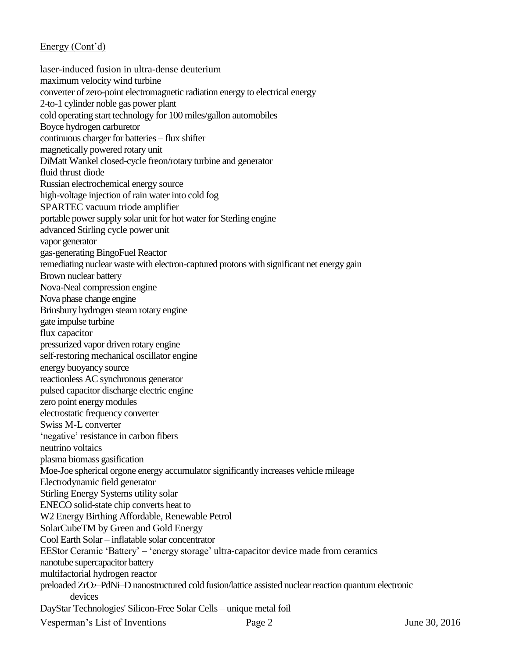Vesperman's List of Inventions Page 2 June 30, 2016 laser-induced fusion in ultra-dense deuterium maximum velocity wind turbine converter of zero-point electromagnetic radiation energy to electrical energy 2-to-1 cylinder noble gas power plant cold operating start technology for 100 miles/gallon automobiles Boyce hydrogen carburetor continuous charger for batteries – flux shifter magnetically powered rotary unit DiMatt Wankel closed-cycle freon/rotary turbine and generator fluid thrust diode Russian electrochemical energy source high-voltage injection of rain water into cold fog SPARTEC vacuum triode amplifier portable power supply solar unit for hot water for Sterling engine advanced Stirling cycle power unit vapor generator gas-generating BingoFuel Reactor remediating nuclear waste with electron-captured protons with significant net energy gain Brown nuclear battery Nova-Neal compression engine Nova phase change engine Brinsbury hydrogen steam rotary engine gate impulse turbine flux capacitor pressurized vapor driven rotary engine self-restoring mechanical oscillator engine energy buoyancy source reactionless AC synchronous generator pulsed capacitor discharge electric engine zero point energy modules electrostatic frequency converter Swiss M-L converter 'negative' resistance in carbon fibers neutrino voltaics plasma biomass gasification Moe-Joe spherical orgone energy accumulator significantly increases vehicle mileage Electrodynamic field generator Stirling Energy Systems utility solar ENECO solid-state chip converts heat to W2 Energy Birthing Affordable, Renewable Petrol SolarCubeTM by Green and Gold Energy Cool Earth Solar – inflatable solar concentrator EEStor Ceramic "Battery" – "energy storage" ultra-capacitor device made from ceramics nanotube supercapacitor battery multifactorial hydrogen reactor preloaded ZrO2–PdNi–D nanostructured cold fusion/lattice assisted nuclear reaction quantum electronic devices DayStar Technologies' Silicon-Free Solar Cells – unique metal foil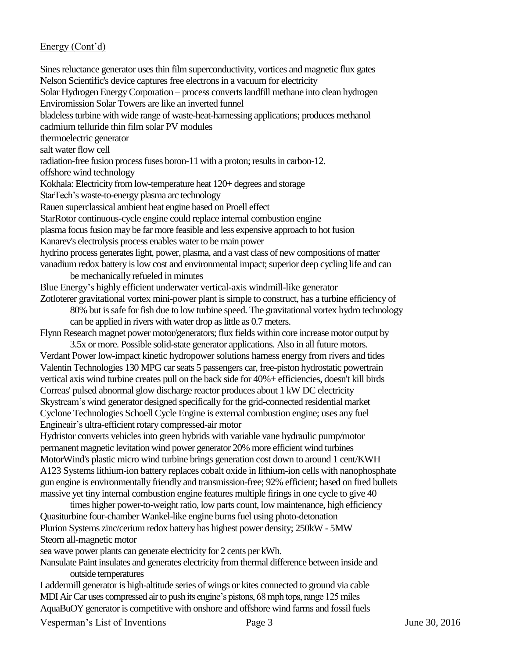Sines reluctance generator uses thin film superconductivity, vortices and magnetic flux gates Nelson Scientific's device captures free electrons in a vacuum for electricity Solar Hydrogen Energy Corporation – process converts landfill methane into clean hydrogen Enviromission Solar Towers are like an inverted funnel bladeless turbine with wide range of waste-heat-harnessing applications; produces methanol cadmium telluride thin film solar PV modules thermoelectric generator salt water flow cell radiation-free fusion process fuses boron-11 with a proton; results in carbon-12. offshore wind technology Kokhala: Electricity from low-temperature heat 120+ degrees and storage StarTech"s waste-to-energy plasma arc technology Rauen superclassical ambient heat engine based on Proell effect StarRotor continuous-cycle engine could replace internal combustion engine plasma focus fusion may be far more feasible and less expensive approach to hot fusion Kanarev's electrolysis process enables water to be main power hydrino process generates light, power, plasma, and a vast class of new compositions of matter vanadium redox battery is low cost and environmental impact; superior deep cycling life and can be mechanically refueled in minutes Blue Energy"s highly efficient underwater vertical-axis windmill-like generator Zotloterer gravitational vortex mini-power plant is simple to construct, has a turbine efficiency of 80% but is safe for fish due to low turbine speed. The gravitational vortex hydro technology can be applied in rivers with water drop as little as 0.7 meters. Flynn Research magnet power motor/generators; flux fields within core increase motor output by 3.5x or more. Possible solid-state generator applications. Also in all future motors. Verdant Power low-impact kinetic hydropower solutions harness energy from rivers and tides Valentin Technologies 130 MPG car seats 5 passengers car, free-piston hydrostatic powertrain vertical axis wind turbine creates pull on the back side for 40%+ efficiencies, doesn't kill birds Correas' pulsed abnormal glow discharge reactor produces about 1 kW DC electricity Skystream"s wind generator designed specifically for the grid-connected residential market Cyclone Technologies Schoell Cycle Engine is external combustion engine; uses any fuel Engineair"s ultra-efficient rotary compressed-air motor Hydristor converts vehicles into green hybrids with variable vane hydraulic pump/motor permanent magnetic levitation wind power generator 20% more efficient wind turbines MotorWind's plastic micro wind turbine brings generation cost down to around 1 cent/KWH A123 Systems lithium-ion battery replaces cobalt oxide in lithium-ion cells with nanophosphate gun engine is environmentally friendly and transmission-free; 92% efficient; based on fired bullets massive yet tiny internal combustion engine features multiple firings in one cycle to give 40 times higher power-to-weight ratio, low parts count, low maintenance, high efficiency

Quasiturbine four-chamber Wankel-like engine burns fuel using photo-detonation Plurion Systems zinc/cerium redox battery has highest power density; 250kW - 5MW Steorn all-magnetic motor

sea wave power plants can generate electricity for 2 cents per kWh.

Nansulate Paint insulates and generates electricity from thermal difference between inside and outside temperatures

Laddermill generator is high-altitude series of wings or kites connected to ground via cable MDI Air Car uses compressed air to push its engine"s pistons, 68 mph tops, range 125 miles AquaBuOY generator is competitive with onshore and offshore wind farms and fossil fuels

Vesperman's List of Inventions Page 3 June 30, 2016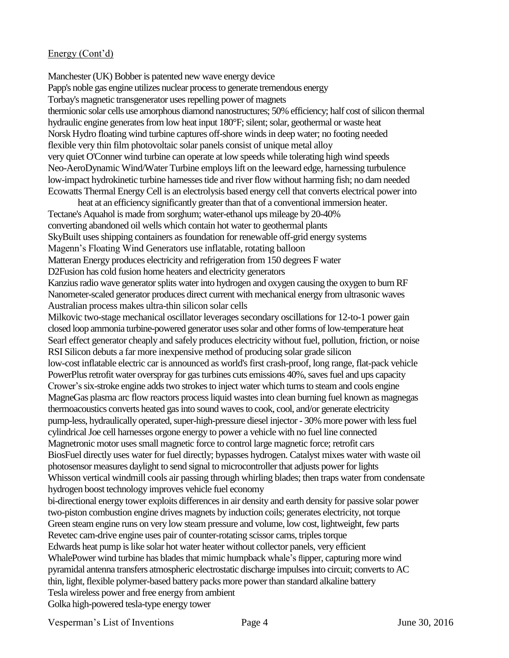Manchester (UK) Bobber is patented new wave energy device Papp's noble gas engine utilizes nuclear process to generate tremendous energy Torbay's magnetic transgenerator uses repelling power of magnets thermionic solar cells use amorphous diamond nanostructures; 50% efficiency; half cost of silicon thermal hydraulic engine generates from low heat input 180°F; silent; solar, geothermal or waste heat Norsk Hydro floating wind turbine captures off-shore winds in deep water; no footing needed flexible very thin film photovoltaic solar panels consist of unique metal alloy very quiet O'Conner wind turbine can operate at low speeds while tolerating high wind speeds Neo-AeroDynamic Wind/Water Turbine employs lift on the leeward edge, harnessing turbulence low-impact hydrokinetic turbine harnesses tide and river flow without harming fish; no dam needed Ecowatts Thermal Energy Cell is an electrolysis based energy cell that converts electrical power into

heat at an efficiency significantly greater than that of a conventional immersion heater. Tectane's Aquahol is made from sorghum; water-ethanol ups mileage by 20-40% converting abandoned oil wells which contain hot water to geothermal plants SkyBuilt uses shipping containers as foundation for renewable off-grid energy systems Magenn"s Floating Wind Generators use inflatable, rotating balloon Matteran Energy produces electricity and refrigeration from 150 degrees F water D2Fusion has cold fusion home heaters and electricity generators Kanzius radio wave generator splits water into hydrogen and oxygen causing the oxygen to burn RF Nanometer-scaled generator produces direct current with mechanical energy from ultrasonic waves Australian process makes ultra-thin silicon solar cells Milkovic two-stage mechanical oscillator leverages secondary oscillations for 12-to-1 power gain closed loop ammonia turbine-powered generator uses solar and other forms of low-temperature heat Searl effect generator cheaply and safely produces electricity without fuel, pollution, friction, or noise RSI Silicon debuts a far more inexpensive method of producing solar grade silicon low-cost inflatable electric car is announced as world's first crash-proof, long range, flat-pack vehicle PowerPlus retrofit water overspray for gas turbines cuts emissions 40%, saves fuel and ups capacity Crower"s six-stroke engine adds two strokes to inject water which turns to steam and cools engine MagneGas plasma arc flow reactors process liquid wastes into clean burning fuel known as magnegas thermoacoustics converts heated gas into sound waves to cook, cool, and/or generate electricity pump-less, hydraulically operated, super-high-pressure diesel injector - 30% more power with less fuel cylindrical Joe cell harnesses orgone energy to power a vehicle with no fuel line connected Magnetronic motor uses small magnetic force to control large magnetic force; retrofit cars BiosFuel directly uses water for fuel directly; bypasses hydrogen. Catalyst mixes water with waste oil photosensor measures daylight to send signal to microcontroller that adjusts power for lights Whisson vertical windmill cools air passing through whirling blades; then traps water from condensate hydrogen boost technology improves vehicle fuel economy bi-directional energy tower exploits differences in air density and earth density for passive solar power two-piston combustion engine drives magnets by induction coils; generates electricity, not torque Green steam engine runs on very low steam pressure and volume, low cost, lightweight, few parts Revetec cam-drive engine uses pair of counter-rotating scissor cams, triples torque Edwards heat pump is like solar hot water heater without collector panels, very efficient WhalePower wind turbine has blades that mimic humpback whale"s flipper, capturing more wind pyramidal antenna transfers atmospheric electrostatic discharge impulses into circuit; converts to AC thin, light, flexible polymer-based battery packs more power than standard alkaline battery Tesla wireless power and free energy from ambient Golka high-powered tesla-type energy tower

Vesperman's List of Inventions Page 4 June 30, 2016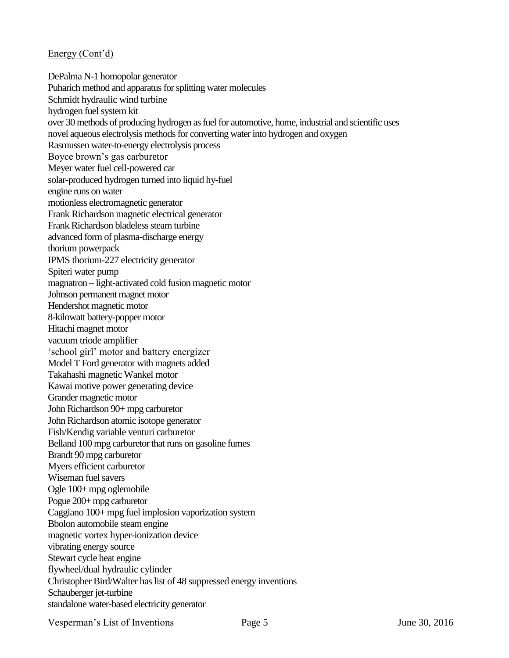DePalma N-1 homopolar generator Puharich method and apparatus for splitting water molecules Schmidt hydraulic wind turbine hydrogen fuel system kit over 30 methods of producing hydrogen as fuel for automotive, home, industrial and scientific uses novel aqueous electrolysis methods for converting water into hydrogen and oxygen Rasmussen water-to-energy electrolysis process Boyce brown"s gas carburetor Meyer water fuel cell-powered car solar-produced hydrogen turned into liquid hy-fuel engine runs on water motionless electromagnetic generator Frank Richardson magnetic electrical generator Frank Richardson bladeless steam turbine advanced form of plasma-discharge energy thorium powerpack IPMS thorium-227 electricity generator Spiteri water pump magnatron – light-activated cold fusion magnetic motor Johnson permanent magnet motor Hendershot magnetic motor 8-kilowatt battery-popper motor Hitachi magnet motor vacuum triode amplifier 'school girl' motor and battery energizer Model T Ford generator with magnets added Takahashi magnetic Wankel motor Kawai motive power generating device Grander magnetic motor John Richardson 90+ mpg carburetor John Richardson atomic isotope generator Fish/Kendig variable venturi carburetor Belland 100 mpg carburetor that runs on gasoline fumes Brandt 90 mpg carburetor Myers efficient carburetor Wiseman fuel savers Ogle 100+ mpg oglemobile Pogue 200+ mpg carburetor Caggiano 100+ mpg fuel implosion vaporization system Bbolon automobile steam engine magnetic vortex hyper-ionization device vibrating energy source Stewart cycle heat engine flywheel/dual hydraulic cylinder Christopher Bird/Walter has list of 48 suppressed energy inventions Schauberger jet-turbine standalone water-based electricity generator

Vesperman's List of Inventions Page 5 June 30, 2016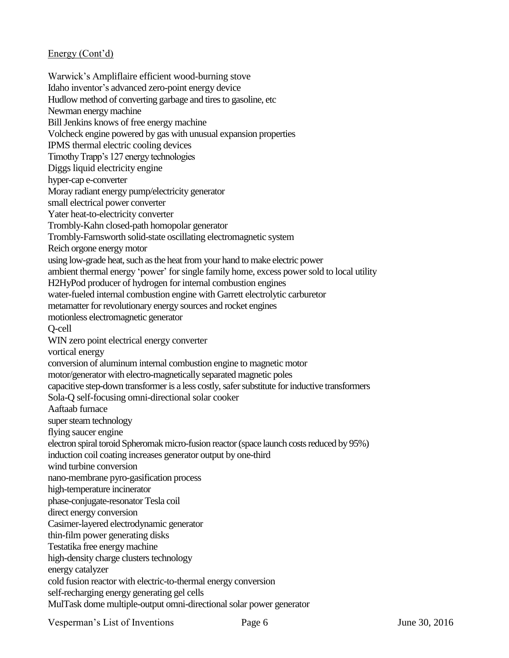Warwick"s Ampliflaire efficient wood-burning stove Idaho inventor"s advanced zero-point energy device Hudlow method of converting garbage and tires to gasoline, etc Newman energy machine Bill Jenkins knows of free energy machine Volcheck engine powered by gas with unusual expansion properties IPMS thermal electric cooling devices Timothy Trapp"s 127 energy technologies Diggs liquid electricity engine hyper-cap e-converter Moray radiant energy pump/electricity generator small electrical power converter Yater heat-to-electricity converter Trombly-Kahn closed-path homopolar generator Trombly-Farnsworth solid-state oscillating electromagnetic system Reich orgone energy motor using low-grade heat, such as the heat from your hand to make electric power ambient thermal energy "power" for single family home, excess power sold to local utility H2HyPod producer of hydrogen for internal combustion engines water-fueled internal combustion engine with Garrett electrolytic carburetor metamatter for revolutionary energy sources and rocket engines motionless electromagnetic generator Q-cell WIN zero point electrical energy converter vortical energy conversion of aluminum internal combustion engine to magnetic motor motor/generator with electro-magnetically separated magnetic poles capacitive step-down transformer is a less costly, safer substitute for inductive transformers Sola-Q self-focusing omni-directional solar cooker Aaftaab furnace super steam technology flying saucer engine electron spiral toroid Spheromak micro-fusion reactor (space launch costs reduced by 95%) induction coil coating increases generator output by one-third wind turbine conversion nano-membrane pyro-gasification process high-temperature incinerator phase-conjugate-resonator Tesla coil direct energy conversion Casimer-layered electrodynamic generator thin-film power generating disks Testatika free energy machine high-density charge clusters technology energy catalyzer cold fusion reactor with electric-to-thermal energy conversion self-recharging energy generating gel cells MulTask dome multiple-output omni-directional solar power generator

Vesperman's List of Inventions Page 6 June 30, 2016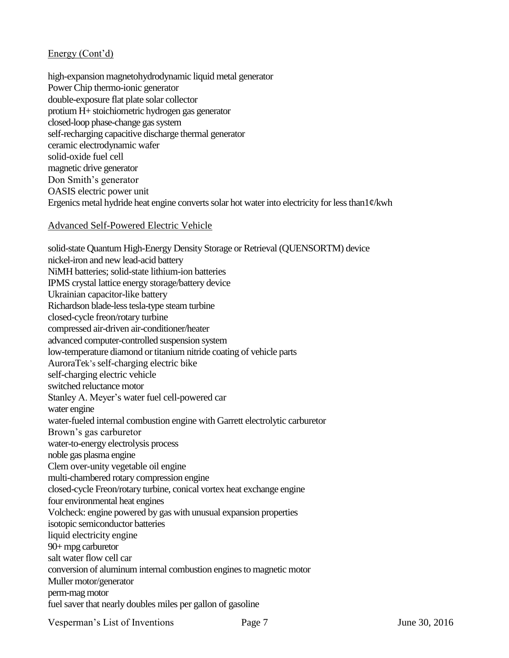high-expansion magnetohydrodynamic liquid metal generator Power Chip thermo-ionic generator double-exposure flat plate solar collector protium H+ stoichiometric hydrogen gas generator closed-loop phase-change gas system self-recharging capacitive discharge thermal generator ceramic electrodynamic wafer solid-oxide fuel cell magnetic drive generator Don Smith"s generator OASIS electric power unit Ergenics metal hydride heat engine converts solar hot water into electricity for less than1¢/kwh

#### Advanced Self-Powered Electric Vehicle

solid-state Quantum High-Energy Density Storage or Retrieval (QUENSORTM) device nickel-iron and new lead-acid battery NiMH batteries; solid-state lithium-ion batteries IPMS crystal lattice energy storage/battery device Ukrainian capacitor-like battery Richardson blade-less tesla-type steam turbine closed-cycle freon/rotary turbine compressed air-driven air-conditioner/heater advanced computer-controlled suspension system low-temperature diamond or titanium nitride coating of vehicle parts AuroraTek"s self-charging electric bike self-charging electric vehicle switched reluctance motor Stanley A. Meyer's water fuel cell-powered car water engine water-fueled internal combustion engine with Garrett electrolytic carburetor Brown"s gas carburetor water-to-energy electrolysis process noble gas plasma engine Clem over-unity vegetable oil engine multi-chambered rotary compression engine closed-cycle Freon/rotary turbine, conical vortex heat exchange engine four environmental heat engines Volcheck: engine powered by gas with unusual expansion properties isotopic semiconductor batteries liquid electricity engine 90+ mpg carburetor salt water flow cell car conversion of aluminum internal combustion engines to magnetic motor Muller motor/generator perm-mag motor fuel saver that nearly doubles miles per gallon of gasoline

Vesperman's List of Inventions Page 7 June 30, 2016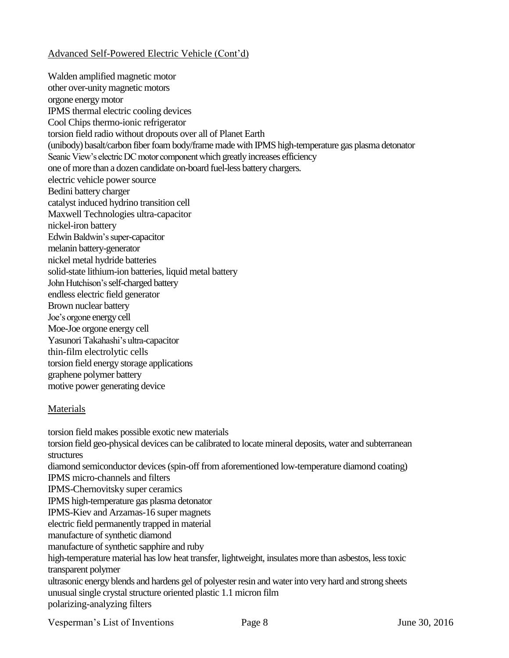### Advanced Self-Powered Electric Vehicle (Cont"d)

Walden amplified magnetic motor other over-unity magnetic motors orgone energy motor IPMS thermal electric cooling devices Cool Chips thermo-ionic refrigerator torsion field radio without dropouts over all of Planet Earth (unibody) basalt/carbon fiber foam body/frame made with IPMS high-temperature gas plasma detonator Seanic View's electric DC motor component which greatly increases efficiency one of more than a dozen candidate on-board fuel-less battery chargers. electric vehicle power source Bedini battery charger catalyst induced hydrino transition cell Maxwell Technologies ultra-capacitor nickel-iron battery Edwin Baldwin"s super-capacitor melanin battery-generator nickel metal hydride batteries solid-state lithium-ion batteries, liquid metal battery John Hutchison"s self-charged battery endless electric field generator Brown nuclear battery Joe"s orgone energy cell Moe-Joe orgone energy cell Yasunori Takahashi"s ultra-capacitor thin-film electrolytic cells torsion field energy storage applications graphene polymer battery motive power generating device

#### Materials

torsion field makes possible exotic new materials torsion field geo-physical devices can be calibrated to locate mineral deposits, water and subterranean structures diamond semiconductor devices (spin-off from aforementioned low-temperature diamond coating) IPMS micro-channels and filters IPMS-Chernovitsky super ceramics IPMS high-temperature gas plasma detonator IPMS-Kiev and Arzamas-16 super magnets electric field permanently trapped in material manufacture of synthetic diamond manufacture of synthetic sapphire and ruby high-temperature material has low heat transfer, lightweight, insulates more than asbestos, less toxic transparent polymer ultrasonic energy blends and hardens gel of polyester resin and water into very hard and strong sheets unusual single crystal structure oriented plastic 1.1 micron film polarizing-analyzing filters

Vesperman's List of Inventions Page 8 June 30, 2016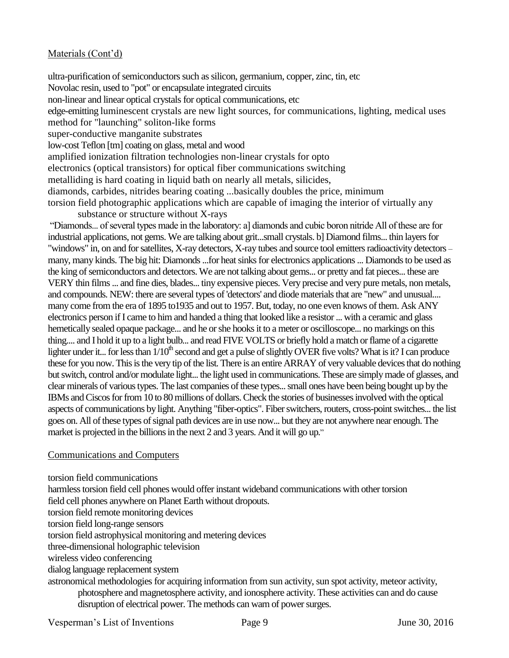### Materials (Cont'd)

ultra-purification of semiconductors such as silicon, germanium, copper, zinc, tin, etc Novolac resin, used to "pot" or encapsulate integrated circuits non-linear and linear optical crystals for optical communications, etc edge-emitting luminescent crystals are new light sources, for communications, lighting, medical uses method for "launching" soliton-like forms super-conductive manganite substrates low-cost Teflon [tm] coating on glass, metal and wood amplified ionization filtration technologies non-linear crystals for opto electronics (optical transistors) for optical fiber communications switching metalliding is hard coating in liquid bath on nearly all metals, silicides, diamonds, carbides, nitrides bearing coating ...basically doubles the price, minimum torsion field photographic applications which are capable of imaging the interior of virtually any

substance or structure without X-rays "Diamonds... of several types made in the laboratory: a] diamonds and cubic boron nitride All of these are for industrial applications, not gems. We are talking about grit...small crystals. b] Diamond films... thin layers for "windows" in, on and for satellites, X-ray detectors, X-ray tubes and source tool emitters radioactivity detectors – many, many kinds. The big hit: Diamonds ...for heat sinks for electronics applications ... Diamonds to be used as the king of semiconductors and detectors. We are not talking about gems... or pretty and fat pieces... these are VERY thin films ... and fine dies, blades... tiny expensive pieces. Very precise and very pure metals, non metals, and compounds. NEW: there are several types of 'detectors' and diode materials that are "new" and unusual.... many come from the era of 1895 to1935 and out to 1957. But, today, no one even knows of them. Ask ANY electronics person if I came to him and handed a thing that looked like a resistor ... with a ceramic and glass hemetically sealed opaque package... and he or she hooks it to a meter or oscilloscope... no markings on this thing.... and I hold it up to a light bulb... and read FIVE VOLTS or briefly hold a match or flame of a cigarette lighter under it... for less than  $1/10<sup>th</sup>$  second and get a pulse of slightly OVER five volts? What is it? I can produce these for you now. This is the very tip of the list. There is an entire ARRAY of very valuable devices that do nothing but switch, control and/or modulate light... the light used in communications. These are simply made of glasses, and clear minerals of various types. The last companies of these types... small ones have been being bought up by the IBMs and Ciscos for from 10 to 80 millions of dollars. Check the stories of businesses involved with the optical aspects of communications by light. Anything "fiber-optics". Fiber switchers, routers, cross-point switches... the list goes on. All of these types of signal path devices are in use now... but they are not anywhere near enough. The market is projected in the billions in the next 2 and 3 years. And it will go up."

#### Communications and Computers

torsion field communications

harmless torsion field cell phones would offer instant wideband communications with other torsion

field cell phones anywhere on Planet Earth without dropouts.

torsion field remote monitoring devices

torsion field long-range sensors

torsion field astrophysical monitoring and metering devices

three-dimensional holographic television

wireless video conferencing

dialog language replacement system

astronomical methodologies for acquiring information from sun activity, sun spot activity, meteor activity, photosphere and magnetosphere activity, and ionosphere activity. These activities can and do cause disruption of electrical power. The methods can warn of power surges.

Vesperman's List of Inventions Page 9 June 30, 2016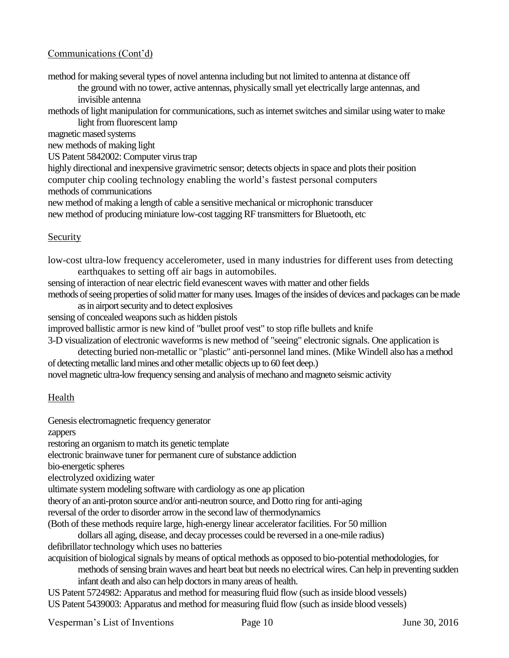### Communications (Cont"d)

method for making several types of novel antenna including but not limited to antenna at distance off

the ground with no tower, active antennas, physically small yet electrically large antennas, and invisible antenna

methods of light manipulation for communications, such as internet switches and similar using water to make light from fluorescent lamp

magnetic mased systems

new methods of making light

US Patent 5842002: Computer virus trap

highly directional and inexpensive gravimetric sensor; detects objects in space and plots their position computer chip cooling technology enabling the world"s fastest personal computers

methods of communications

new method of making a length of cable a sensitive mechanical or microphonic transducer new method of producing miniature low-cost tagging RF transmitters for Bluetooth, etc

#### **Security**

low-cost ultra-low frequency accelerometer, used in many industries for different uses from detecting earthquakes to setting off air bags in automobiles.

sensing of interaction of near electric field evanescent waves with matter and other fields methods of seeing properties of solid matter for many uses. Images of the insides of devices and packages can be made

as in airport security and to detect explosives

sensing of concealed weapons such as hidden pistols

improved ballistic armor is new kind of "bullet proof vest" to stop rifle bullets and knife

3-D visualization of electronic waveforms is new method of "seeing" electronic signals. One application is detecting buried non-metallic or "plastic" anti-personnel land mines. (Mike Windell also has amethod of detecting metallic land mines and other metallic objects up to 60 feet deep.)

novel magnetic ultra-low frequency sensing and analysis of mechano and magneto seismic activity

#### Health

Genesis electromagnetic frequency generator

zappers

restoring an organism to match its genetic template

electronic brainwave tuner for permanent cure of substance addiction

bio-energetic spheres

electrolyzed oxidizing water

ultimate system modeling software with cardiology as one ap plication

theory of an anti-proton source and/or anti-neutron source, and Dotto ring for anti-aging

reversal of the order to disorder arrow in the second law of thermodynamics

(Both of these methods require large, high-energy linear accelerator facilities. For 50 million

dollars all aging, disease, and decay processes could be reversed in a one-mile radius)

defibrillator technology which uses no batteries

acquisition of biological signals by means of optical methods as opposed to bio-potential methodologies, for

methods of sensing brain waves and heart beat but needs no electrical wires.Can help in preventing sudden infant death and also can help doctors in many areas of health.

US Patent 5724982: Apparatus and method for measuring fluid flow (such as inside blood vessels) US Patent 5439003: Apparatus and method for measuring fluid flow (such as inside blood vessels)

Vesperman's List of Inventions Page 10 June 30, 2016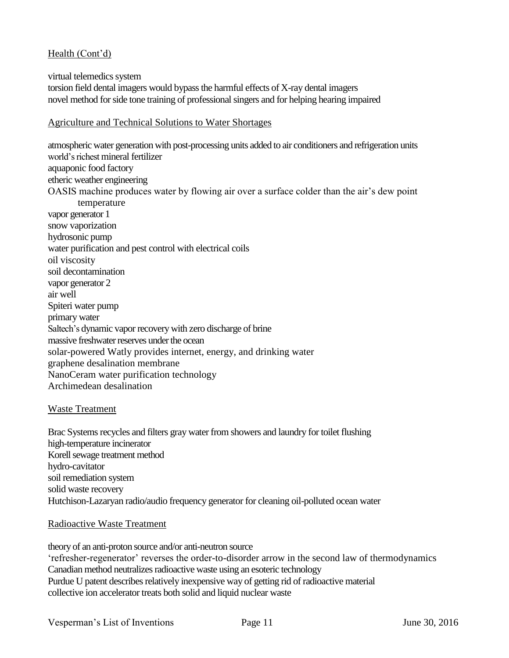#### Health (Cont'd)

virtual telemedics system torsion field dental imagers would bypass the harmful effects of X-ray dental imagers novel method for side tone training of professional singers and for helping hearing impaired

#### Agriculture and Technical Solutions to Water Shortages

atmospheric water generation with post-processing units added to air conditioners and refrigeration units world"s richest mineral fertilizer aquaponic food factory etheric weather engineering OASIS machine produces water by flowing air over a surface colder than the air"s dew point temperature vapor generator 1 snow vaporization hydrosonic pump water purification and pest control with electrical coils oil viscosity soil decontamination vapor generator 2 air well Spiteri water pump primary water Saltech"s dynamic vapor recovery with zero discharge of brine massive freshwater reserves under the ocean solar-powered Watly provides internet, energy, and drinking water graphene desalination membrane NanoCeram water purification technology Archimedean desalination

#### Waste Treatment

Brac Systems recycles and filters gray water from showers and laundry for toilet flushing high-temperature incinerator Korell sewage treatment method hydro-cavitator soil remediation system solid waste recovery Hutchison-Lazaryan radio/audio frequency generator for cleaning oil-polluted ocean water

#### Radioactive Waste Treatment

theory of an anti-proton source and/or anti-neutron source "refresher-regenerator" reverses the order-to-disorder arrow in the second law of thermodynamics Canadian method neutralizes radioactive waste using an esoteric technology Purdue U patent describes relatively inexpensive way of getting rid of radioactive material collective ion accelerator treats both solid and liquid nuclear waste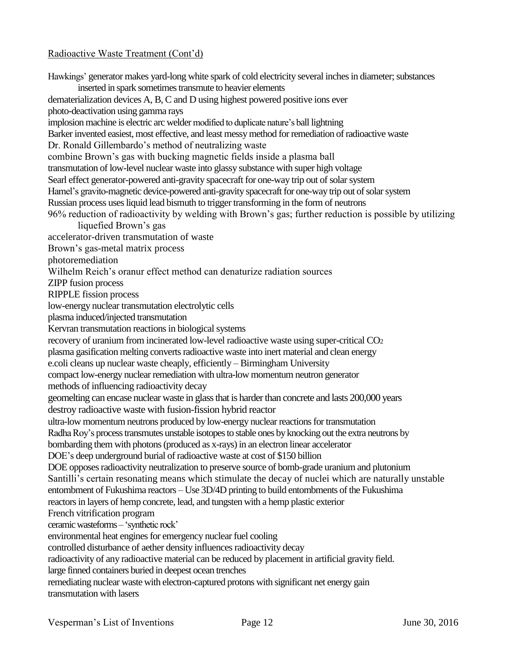#### Radioactive Waste Treatment (Cont"d)

Hawkings" generator makes yard-long white spark of cold electricity several inches in diameter; substances inserted in spark sometimes transmute to heavier elements dematerialization devices A, B, C and D using highest powered positive ions ever photo-deactivation using gamma rays implosion machine is electric arc welder modified to duplicate nature's ball lightning Barker invented easiest, most effective, and least messy method for remediation of radioactive waste Dr. Ronald Gillembardo"s method of neutralizing waste combine Brown"s gas with bucking magnetic fields inside a plasma ball transmutation of low-level nuclear waste into glassy substance with super high voltage Searl effect generator-powered anti-gravity spacecraft for one-way trip out of solar system Hamel"s gravito-magnetic device-powered anti-gravity spacecraft for one-way trip out of solar system Russian process uses liquid lead bismuth to trigger transforming in the form of neutrons 96% reduction of radioactivity by welding with Brown"s gas; further reduction is possible by utilizing liquefied Brown"s gas accelerator-driven transmutation of waste Brown"s gas-metal matrix process photoremediation Wilhelm Reich"s oranur effect method can denaturize radiation sources ZIPP fusion process RIPPLE fission process low-energy nuclear transmutation electrolytic cells plasma induced/injected transmutation Kervran transmutation reactions in biological systems recovery of uranium from incinerated low-level radioactive waste using super-critical CO<sup>2</sup> plasma gasification melting converts radioactive waste into inert material and clean energy e.coli cleans up nuclear waste cheaply, efficiently – Birmingham University compact low-energy nuclear remediation with ultra-low momentum neutron generator methods of influencing radioactivity decay geomelting can encase nuclear waste in glass that is harder than concrete and lasts 200,000 years destroy radioactive waste with fusion-fission hybrid reactor ultra-low momentum neutrons produced by low-energy nuclear reactions for transmutation Radha Roy"s process transmutes unstable isotopes to stable ones by knocking out the extra neutrons by bombarding them with photons (produced as x-rays) in an electron linear accelerator DOE"s deep underground burial of radioactive waste at cost of \$150 billion DOE opposes radioactivity neutralization to preserve source of bomb-grade uranium and plutonium Santilli's certain resonating means which stimulate the decay of nuclei which are naturally unstable entombment of Fukushima reactors – Use 3D/4D printing to build entombments of the Fukushima reactors in layers of hemp concrete, lead, and tungsten with a hemp plastic exterior French vitrification program ceramic wasteforms – "synthetic rock" environmental heat engines for emergency nuclear fuel cooling controlled disturbance of aether density influences radioactivity decay radioactivity of any radioactive material can be reduced by placement in artificial gravity field. large finned containers buried in deepest ocean trenches remediating nuclear waste with electron-captured protons with significant net energy gain transmutation with lasers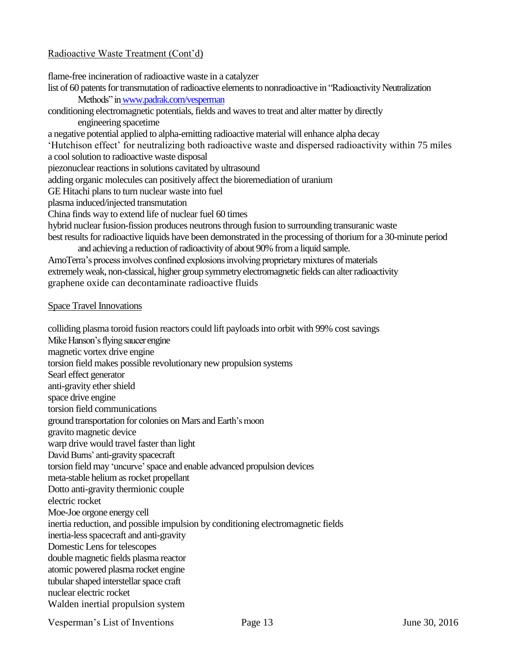#### Radioactive Waste Treatment (Cont"d)

flame-free incineration of radioactive waste in a catalyzer list of 60 patents for transmutation of radioactive elements to nonradioactive in "Radioactivity Neutralization Methods" inwww.padrak.com/vesperman conditioning electromagnetic potentials, fields and waves to treat and alter matter by directly engineering spacetime a negative potential applied to alpha-emitting radioactive material will enhance alpha decay "Hutchison effect" for neutralizing both radioactive waste and dispersed radioactivity within 75 miles a cool solution to radioactive waste disposal piezonuclear reactions in solutions cavitated by ultrasound adding organic molecules can positively affect the bioremediation of uranium GE Hitachi plans to turn nuclear waste into fuel plasma induced/injected transmutation China finds way to extend life of nuclear fuel 60 times hybrid nuclear fusion-fission produces neutrons through fusion to surrounding transuranic waste best results for radioactive liquids have been demonstrated in the processing of thorium for a 30-minute period and achieving a reduction of radioactivity of about 90% from a liquid sample. AmoTerra"s process involves confined explosions involving proprietary mixtures of materials extremely weak, non-classical, higher group symmetry electromagnetic fields can alter radioactivity graphene oxide can decontaminate radioactive fluids Space Travel Innovations colliding plasma toroid fusion reactors could lift payloads into orbit with 99% cost savings

Mike Hanson"s flying saucer engine magnetic vortex drive engine torsion field makes possible revolutionary new propulsion systems Searl effect generator anti-gravity ether shield space drive engine torsion field communications ground transportation for colonies on Mars and Earth"s moon gravito magnetic device warp drive would travel faster than light David Burns" anti-gravity spacecraft torsion field may "uncurve" space and enable advanced propulsion devices meta-stable helium as rocket propellant Dotto anti-gravity thermionic couple electric rocket Moe-Joe orgone energy cell inertia reduction, and possible impulsion by conditioning electromagnetic fields inertia-less spacecraft and anti-gravity Domestic Lens for telescopes double magnetic fields plasma reactor atomic powered plasma rocket engine tubular shaped interstellar space craft nuclear electric rocket Walden inertial propulsion system

Vesperman's List of Inventions Page 13 June 30, 2016